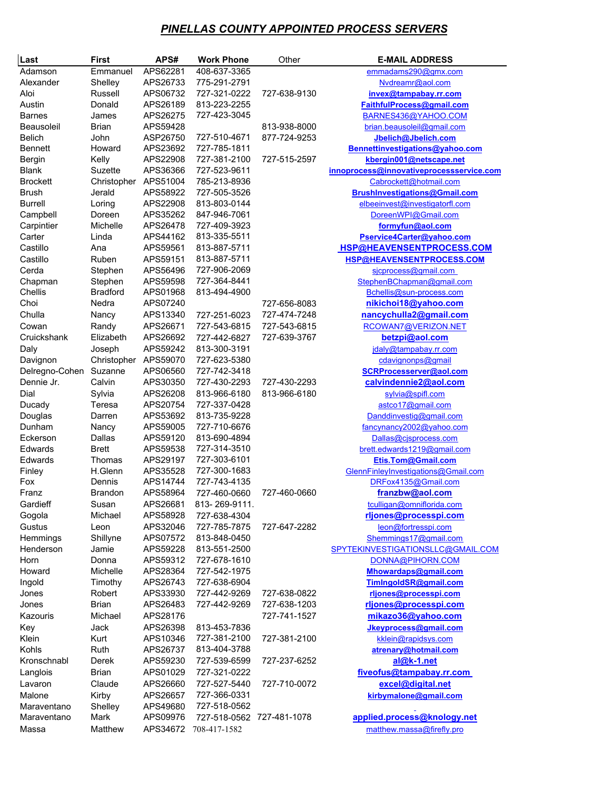## *PINELLAS COUNTY APPOINTED PROCESS SERVERS*

| Last           | First                | APS#     | <b>Work Phone</b>         | Other        | <b>E-MAIL ADDRESS</b>                    |
|----------------|----------------------|----------|---------------------------|--------------|------------------------------------------|
| Adamson        | Emmanuel             | APS62281 | 408-637-3365              |              | emmadams290@gmx.com                      |
| Alexander      | Shelley              | APS26733 | 775-291-2791              |              | Nvdreamr@aol.com                         |
| Aloi           | Russell              | APS06732 | 727-321-0222              | 727-638-9130 | invex@tampabay.rr.com                    |
| Austin         | Donald               | APS26189 | 813-223-2255              |              | FaithfulProcess@gmail.com                |
| <b>Barnes</b>  | James                | APS26275 | 727-423-3045              |              | BARNES436@YAHOO.COM                      |
| Beausoleil     | <b>Brian</b>         | APS59428 |                           | 813-938-8000 | brian.beausoleil@gmail.com               |
| <b>Belich</b>  | John                 | ASP26750 | 727-510-4671              | 877-724-9253 | Jbelich@Jbelich.com                      |
| <b>Bennett</b> | Howard               | APS23692 | 727-785-1811              |              | Bennettinvestigations@yahoo.com          |
| Bergin         | Kelly                | APS22908 | 727-381-2100              | 727-515-2597 | kbergin001@netscape.net                  |
| Blank          | Suzette              | APS36366 | 727-523-9611              |              | innoprocess@innovativeprocessservice.com |
| Brockett       | Christopher APS51004 |          | 785-213-8936              |              | Cabrockett@hotmail.com                   |
| <b>Brush</b>   | Jerald               | APS58922 | 727-505-3526              |              | <b>BrushInvestigations@Gmail.com</b>     |
| <b>Burrell</b> | Loring               | APS22908 | 813-803-0144              |              | elbeeinvest@investigatorfl.com           |
| Campbell       | Doreen               | APS35262 | 847-946-7061              |              | DoreenWPI@Gmail.com                      |
| Carpintier     | Michelle             | APS26478 | 727-409-3923              |              | formyfun@aol.com                         |
| Carter         | Linda                | APS44162 | 813-335-5511              |              | Pservice4Carter@yahoo.com                |
| Castillo       | Ana                  | APS59561 | 813-887-5711              |              | HSP@HEAVENSENTPROCESS.COM                |
| Castillo       | Ruben                | APS59151 | 813-887-5711              |              | HSP@HEAVENSENTPROCESS.COM                |
| Cerda          | Stephen              | APS56496 | 727-906-2069              |              | sicprocess@gmail.com                     |
| Chapman        | Stephen              | APS59598 | 727-364-8441              |              | StephenBChapman@gmail.com                |
| Chellis        | <b>Bradford</b>      | APS01968 | 813-494-4900              |              | Bchellis@sun-process.com                 |
| Choi           | Nedra                | APS07240 |                           | 727-656-8083 | nikichoi18@yahoo.com                     |
| Chulla         | Nancy                | APS13340 | 727-251-6023              | 727-474-7248 | nancychulla2@gmail.com                   |
| Cowan          | Randy                | APS26671 | 727-543-6815              | 727-543-6815 | RCOWAN7@VERIZON.NET                      |
| Cruickshank    | Elizabeth            | APS26692 | 727-442-6827              | 727-639-3767 | betzpi@aol.com                           |
| Daly           | Joseph               | APS59242 | 813-300-3191              |              | jdaly@tampabay.rr.com                    |
| Davignon       | Christopher APS59070 |          | 727-623-5380              |              | cdavignonps@gmail                        |
| Delregno-Cohen | Suzanne              | APS06560 | 727-742-3418              |              | SCRProcesserver@aol.com                  |
| Dennie Jr.     | Calvin               | APS30350 | 727-430-2293              | 727-430-2293 | calvindennie2@aol.com                    |
| Dial           | Sylvia               | APS26208 | 813-966-6180              | 813-966-6180 | sylvia@spifl.com                         |
| Ducady         | Teresa               | APS20754 | 727-337-0428              |              | astco17@gmail.com                        |
| Douglas        | Darren               | APS53692 | 813-735-9228              |              | Danddinvestig@gmail.com                  |
| Dunham         | Nancy                | APS59005 | 727-710-6676              |              | fancynancy2002@yahoo.com                 |
| Eckerson       | Dallas               | APS59120 | 813-690-4894              |              | Dallas@cjsprocess.com                    |
| Edwards        | <b>Brett</b>         | APS59538 | 727-314-3510              |              | brett.edwards1219@gmail.com              |
| Edwards        | Thomas               | APS29197 | 727-303-6101              |              | Etis.Tom@Gmail.com                       |
| Finley         | H.Glenn              | APS35528 | 727-300-1683              |              | GlennFinleyInvestigations@Gmail.com      |
| Fox            | Dennis               | APS14744 | 727-743-4135              |              | DRFox4135@Gmail.com                      |
| Franz          | <b>Brandon</b>       | APS58964 | 727-460-0660              | 727-460-0660 | franzbw@aol.com                          |
| Gardieff       | Susan                | APS26681 | 813-269-9111.             |              | tculligan@omniflorida.com                |
| Gogola         | Michael              | APS58928 | 727-638-4304              |              | rljones@processpi.com                    |
| Gustus         | Leon                 | APS32046 | 727-785-7875              | 727-647-2282 | leon@fortresspi.com                      |
| Hemmings       | Shillyne             | APS07572 | 813-848-0450              |              | Shemmings17@gmail.com                    |
| Henderson      | Jamie                | APS59228 | 813-551-2500              |              | SPYTEKINVESTIGATIONSLLC@GMAIL.COM        |
| Horn           | Donna                | APS59312 | 727-678-1610              |              | DONNA@PIHORN.COM                         |
| Howard         | Michelle             | APS28364 | 727-542-1975              |              | Mhowardaps@gmail.com                     |
| Ingold         | Timothy              | APS26743 | 727-638-6904              |              | TimIngoldSR@gmail.com                    |
| Jones          | Robert               | APS33930 | 727-442-9269              | 727-638-0822 | rljones@processpi.com                    |
| Jones          | Brian                | APS26483 | 727-442-9269              | 727-638-1203 | rljones@processpi.com                    |
| Kazouris       | Michael              | APS28176 |                           | 727-741-1527 | mikazo36@yahoo.com                       |
| Key            | Jack                 | APS26398 | 813-453-7836              |              | Jkeyprocess@gmail.com                    |
| Klein          | Kurt                 | APS10346 | 727-381-2100              | 727-381-2100 | kklein@rapidsys.com                      |
| Kohls          | Ruth                 | APS26737 | 813-404-3788              |              | atrenary@hotmail.com                     |
| Kronschnabl    | Derek                | APS59230 | 727-539-6599              | 727-237-6252 | al@k-1.net                               |
| Langlois       | <b>Brian</b>         | APS01029 | 727-321-0222              |              | fiveofus@tampabay.rr.com                 |
| Lavaron        | Claude               | APS26660 | 727-527-5440              | 727-710-0072 | excel@digital.net                        |
| Malone         | Kirby                | APS26657 | 727-366-0331              |              | kirbymalone@gmail.com                    |
| Maraventano    | Shelley              | APS49680 | 727-518-0562              |              |                                          |
| Maraventano    | Mark                 | APS09976 | 727-518-0562 727-481-1078 |              | applied.process@knology.net              |
| Massa          | Matthew              | APS34672 | 708-417-1582              |              | matthew.massa@firefly.pro                |